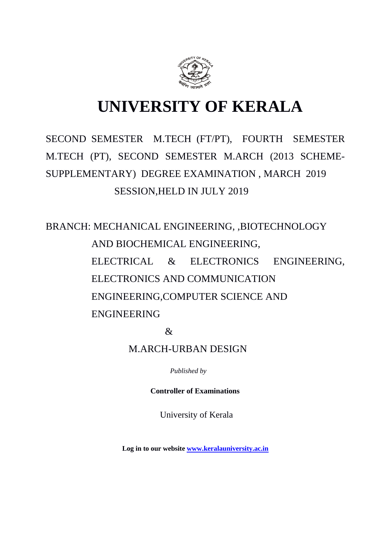

# **UNIVERSITY OF KERALA**

# SECOND SEMESTER M.TECH (FT/PT), FOURTH SEMESTER M.TECH (PT), SECOND SEMESTER M.ARCH (2013 SCHEME-SUPPLEMENTARY) DEGREE EXAMINATION , MARCH 2019 SESSION,HELD IN JULY 2019

BRANCH: MECHANICAL ENGINEERING, ,BIOTECHNOLOGY AND BIOCHEMICAL ENGINEERING, ELECTRICAL & ELECTRONICS ENGINEERING, ELECTRONICS AND COMMUNICATION ENGINEERING,COMPUTER SCIENCE AND ENGINEERING

&

M.ARCH-URBAN DESIGN

*Published by*

 **Controller of Examinations**

University of Kerala

**Log in to our website [www.keralauniversity.ac.in](http://www.keralauniversity.ac.in/)**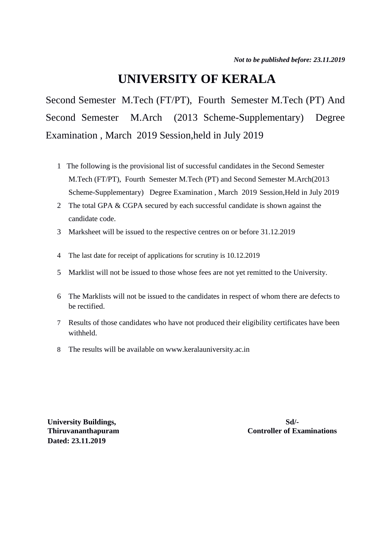# **UNIVERSITY OF KERALA**

Second Semester M.Tech (FT/PT), Fourth Semester M.Tech (PT) And Second Semester M.Arch (2013 Scheme-Supplementary) Degree Examination , March 2019 Session,held in July 2019

- 1 The following is the provisional list of successful candidates in the Second Semester M.Tech (FT/PT), Fourth Semester M.Tech (PT) and Second Semester M.Arch(2013 Scheme-Supplementary) Degree Examination , March 2019 Session,Held in July 2019
- 2 The total GPA & CGPA secured by each successful candidate is shown against the candidate code.
- 3 Marksheet will be issued to the respective centres on or before 31.12.2019
- 4 The last date for receipt of applications for scrutiny is 10.12.2019
- 5 Marklist will not be issued to those whose fees are not yet remitted to the University.
- 6 The Marklists will not be issued to the candidates in respect of whom there are defects to be rectified.
- 7 Results of those candidates who have not produced their eligibility certificates have been withheld.
- 8 The results will be available on www.keralauniversity.ac.in

**University Buildings, Sd/-Dated: 23.11.2019**

**Thiruvananthapuram Controller of Examinations**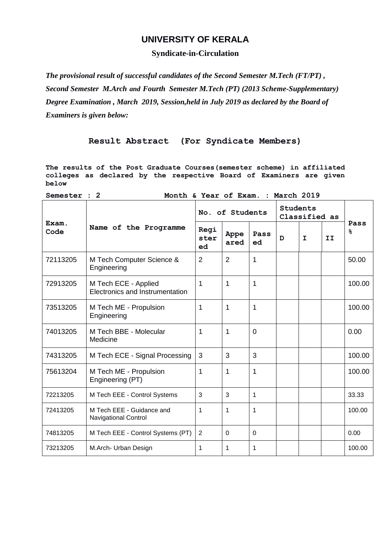## **UNIVERSITY OF KERALA**

## **Syndicate-in-Circulation**

*The provisional result of successful candidates of the Second Semester M.Tech (FT/PT) , Second Semester M.Arch and Fourth Semester M.Tech (PT) (2013 Scheme-Supplementary) Degree Examination , March 2019, Session,held in July 2019 as declared by the Board of Examiners is given below:*

## **Result Abstract (For Syndicate Members)**

**The results of the Post Graduate Courses(semester scheme) in affiliated colleges as declared by the respective Board of Examiners are given below**

| below                                              |                                                          |                    |                |            |                                  |             |    |            |  |  |  |
|----------------------------------------------------|----------------------------------------------------------|--------------------|----------------|------------|----------------------------------|-------------|----|------------|--|--|--|
| Month & Year of Exam. : March 2019<br>Semester : 2 |                                                          |                    |                |            |                                  |             |    |            |  |  |  |
| Exam.<br>Code                                      | Name of the Programme                                    | No. of Students    |                |            | <b>Students</b><br>Classified as |             |    |            |  |  |  |
|                                                    |                                                          | Regi<br>ster<br>ed | Appe<br>ared   | Pass<br>ed | D                                | $\mathbf I$ | II | Pass<br>န္ |  |  |  |
| 72113205                                           | M Tech Computer Science &<br>Engineering                 | 2                  | $\overline{2}$ | 1          |                                  |             |    | 50.00      |  |  |  |
| 72913205                                           | M Tech ECE - Applied<br>Electronics and Instrumentation  | 1                  | 1              | 1          |                                  |             |    | 100.00     |  |  |  |
| 73513205                                           | M Tech ME - Propulsion<br>Engineering                    | 1                  | $\mathbf{1}$   | 1          |                                  |             |    | 100.00     |  |  |  |
| 74013205                                           | M Tech BBE - Molecular<br>Medicine                       | 1                  | 1              | 0          |                                  |             |    | 0.00       |  |  |  |
| 74313205                                           | M Tech ECE - Signal Processing                           | 3                  | 3              | 3          |                                  |             |    | 100.00     |  |  |  |
| 75613204                                           | M Tech ME - Propulsion<br>Engineering (PT)               | 1                  | 1              | 1          |                                  |             |    | 100.00     |  |  |  |
| 72213205                                           | M Tech EEE - Control Systems                             | 3                  | 3              | 1          |                                  |             |    | 33.33      |  |  |  |
| 72413205                                           | M Tech EEE - Guidance and<br><b>Navigational Control</b> | 1                  | 1              | 1          |                                  |             |    | 100.00     |  |  |  |
| 74813205                                           | M Tech EEE - Control Systems (PT)                        | 2                  | 0              | 0          |                                  |             |    | 0.00       |  |  |  |
| 73213205                                           | M.Arch- Urban Design                                     | 1                  | $\mathbf{1}$   | 1          |                                  |             |    | 100.00     |  |  |  |
|                                                    |                                                          |                    |                |            |                                  |             |    |            |  |  |  |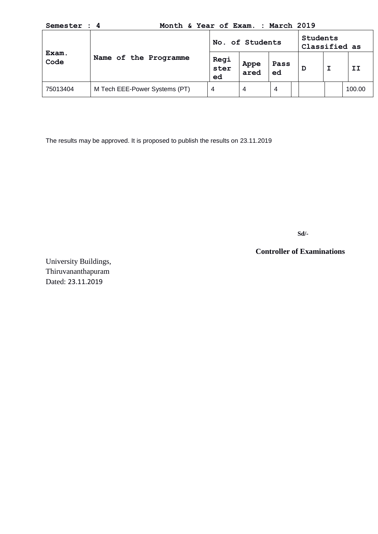**Semester : 4 Month & Year of Exam. : March 2019**

| Exam.<br>Code | Name of the Programme         | No. of Students    |              |            |  | Students<br>Classified as |  |        |
|---------------|-------------------------------|--------------------|--------------|------------|--|---------------------------|--|--------|
|               |                               | Regi<br>ster<br>ed | Appe<br>ared | Pass<br>ed |  | D                         |  | TТ     |
| 75013404      | M Tech EEE-Power Systems (PT) | 4                  | 4            | 4          |  |                           |  | 100.00 |

The results may be approved. It is proposed to publish the results on 23.11.2019

**Sd/-**

**Controller of Examinations**

University Buildings, Thiruvananthapuram Dated: 23.11.2019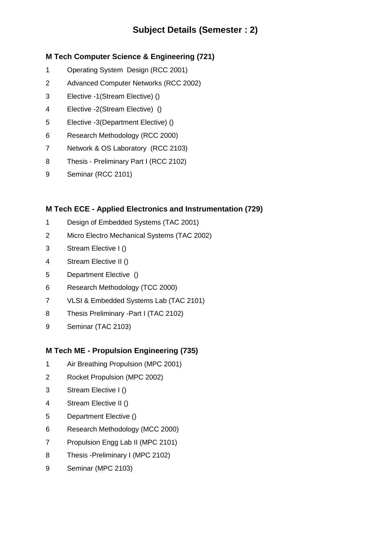# **Subject Details (Semester : 2)**

# **M Tech Computer Science & Engineering (721)**

- 1 Operating System Design (RCC 2001)
- 2 Advanced Computer Networks (RCC 2002)
- 3 Elective -1(Stream Elective) ()
- 4 Elective -2(Stream Elective) ()
- 5 Elective -3(Department Elective) ()
- 6 Research Methodology (RCC 2000)
- 7 Network & OS Laboratory (RCC 2103)
- 8 Thesis Preliminary Part I (RCC 2102)
- 9 Seminar (RCC 2101)

## **M Tech ECE - Applied Electronics and Instrumentation (729)**

- 1 Design of Embedded Systems (TAC 2001)
- 2 Micro Electro Mechanical Systems (TAC 2002)
- 3 Stream Elective I ()
- 4 Stream Elective II ()
- 5 Department Elective ()
- 6 Research Methodology (TCC 2000)
- 7 VLSI & Embedded Systems Lab (TAC 2101)
- 8 Thesis Preliminary -Part I (TAC 2102)
- 9 Seminar (TAC 2103)

# **M Tech ME - Propulsion Engineering (735)**

- 1 Air Breathing Propulsion (MPC 2001)
- 2 Rocket Propulsion (MPC 2002)
- 3 Stream Elective I ()
- 4 Stream Elective II ()
- 5 Department Elective ()
- 6 Research Methodology (MCC 2000)
- 7 Propulsion Engg Lab II (MPC 2101)
- 8 Thesis -Preliminary I (MPC 2102)
- 9 Seminar (MPC 2103)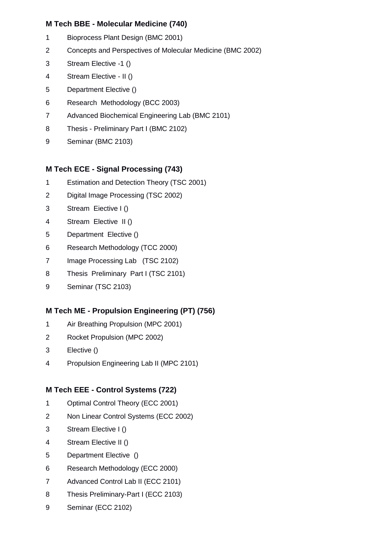## **M Tech BBE - Molecular Medicine (740)**

- 1 Bioprocess Plant Design (BMC 2001)
- 2 Concepts and Perspectives of Molecular Medicine (BMC 2002)
- 3 Stream Elective -1 ()
- 4 Stream Elective II ()
- 5 Department Elective ()
- 6 Research Methodology (BCC 2003)
- 7 Advanced Biochemical Engineering Lab (BMC 2101)
- 8 Thesis Preliminary Part I (BMC 2102)
- 9 Seminar (BMC 2103)

## **M Tech ECE - Signal Processing (743)**

- 1 Estimation and Detection Theory (TSC 2001)
- 2 Digital Image Processing (TSC 2002)
- 3 Stream Eiective I ()
- 4 Stream Elective II ()
- 5 Department Elective ()
- 6 Research Methodology (TCC 2000)
- 7 Image Processing Lab (TSC 2102)
- 8 Thesis Preliminary Part I (TSC 2101)
- 9 Seminar (TSC 2103)

# **M Tech ME - Propulsion Engineering (PT) (756)**

- 1 Air Breathing Propulsion (MPC 2001)
- 2 Rocket Propulsion (MPC 2002)
- 3 Elective ()
- 4 Propulsion Engineering Lab II (MPC 2101)

# **M Tech EEE - Control Systems (722)**

- 1 Optimal Control Theory (ECC 2001)
- 2 Non Linear Control Systems (ECC 2002)
- 3 Stream Elective I ()
- 4 Stream Elective II ()
- 5 Department Elective ()
- 6 Research Methodology (ECC 2000)
- 7 Advanced Control Lab II (ECC 2101)
- 8 Thesis Preliminary-Part I (ECC 2103)
- 9 Seminar (ECC 2102)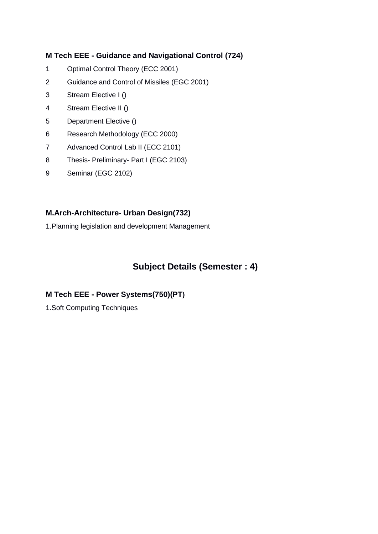## **M Tech EEE - Guidance and Navigational Control (724)**

- 1 Optimal Control Theory (ECC 2001)
- 2 Guidance and Control of Missiles (EGC 2001)
- 3 Stream Elective I ()
- 4 Stream Elective II ()
- 5 Department Elective ()
- 6 Research Methodology (ECC 2000)
- 7 Advanced Control Lab II (ECC 2101)
- 8 Thesis- Preliminary- Part I (EGC 2103)
- 9 Seminar (EGC 2102)

## **M.Arch-Architecture- Urban Design(732)**

1.Planning legislation and development Management

# **Subject Details (Semester : 4)**

## **M Tech EEE - Power Systems(750)(PT)**

1.Soft Computing Techniques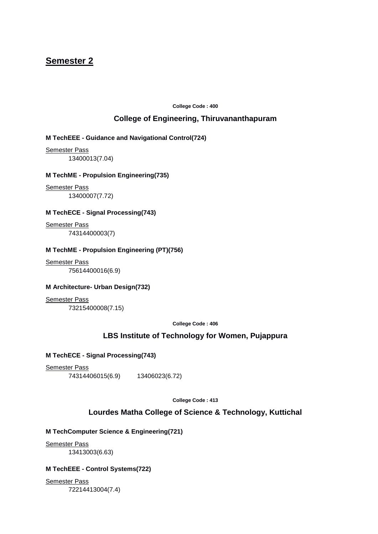# **Semester 2**

**College Code : 400**

## **College of Engineering, Thiruvananthapuram**

#### **M TechEEE - Guidance and Navigational Control(724)**

Semester Pass 13400013(7.04)

#### **M TechME - Propulsion Engineering(735)**

Semester Pass 13400007(7.72)

#### **M TechECE - Signal Processing(743)**

Semester Pass 74314400003(7)

#### **M TechME - Propulsion Engineering (PT)(756)**

Semester Pass 75614400016(6.9)

#### **M Architecture- Urban Design(732)**

Semester Pass 73215400008(7.15)

**College Code : 406**

## **LBS Institute of Technology for Women, Pujappura**

#### **M TechECE - Signal Processing(743)**

Semester Pass 74314406015(6.9) 13406023(6.72)

**College Code : 413**

#### **Lourdes Matha College of Science & Technology, Kuttichal**

## **M TechComputer Science & Engineering(721)**

Semester Pass 13413003(6.63)

#### **M TechEEE - Control Systems(722)**

Semester Pass 72214413004(7.4)